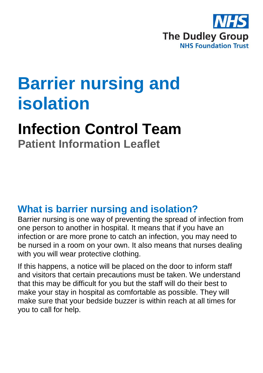

# **Barrier nursing and isolation**

## **Infection Control Team**

**Patient Information Leaflet**

#### **What is barrier nursing and isolation?**

Barrier nursing is one way of preventing the spread of infection from one person to another in hospital. It means that if you have an infection or are more prone to catch an infection, you may need to be nursed in a room on your own. It also means that nurses dealing with you will wear protective clothing.

If this happens, a notice will be placed on the door to inform staff and visitors that certain precautions must be taken. We understand that this may be difficult for you but the staff will do their best to make your stay in hospital as comfortable as possible. They will make sure that your bedside buzzer is within reach at all times for you to call for help.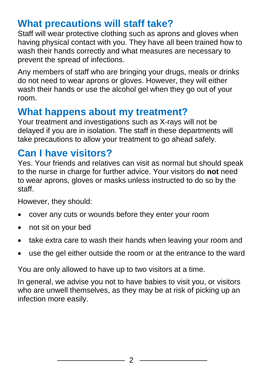#### **What precautions will staff take?**

Staff will wear protective clothing such as aprons and gloves when having physical contact with you. They have all been trained how to wash their hands correctly and what measures are necessary to prevent the spread of infections.

Any members of staff who are bringing your drugs, meals or drinks do not need to wear aprons or gloves. However, they will either wash their hands or use the alcohol gel when they go out of your room.

#### **What happens about my treatment?**

Your treatment and investigations such as X-rays will not be delayed if you are in isolation. The staff in these departments will take precautions to allow your treatment to go ahead safely.

#### **Can I have visitors?**

Yes. Your friends and relatives can visit as normal but should speak to the nurse in charge for further advice. Your visitors do **not** need to wear aprons, gloves or masks unless instructed to do so by the staff.

However, they should:

- cover any cuts or wounds before they enter your room
- not sit on your bed
- take extra care to wash their hands when leaving your room and
- use the gel either outside the room or at the entrance to the ward

You are only allowed to have up to two visitors at a time.

In general, we advise you not to have babies to visit you, or visitors who are unwell themselves, as they may be at risk of picking up an infection more easily.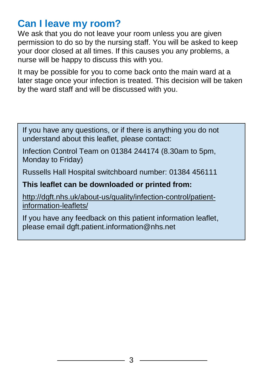### **Can I leave my room?**

We ask that you do not leave your room unless you are given permission to do so by the nursing staff. You will be asked to keep your door closed at all times. If this causes you any problems, a nurse will be happy to discuss this with you.

It may be possible for you to come back onto the main ward at a later stage once your infection is treated. This decision will be taken by the ward staff and will be discussed with you.

If you have any questions, or if there is anything you do not understand about this leaflet, please contact:

Infection Control Team on 01384 244174 (8.30am to 5pm, Monday to Friday)

Russells Hall Hospital switchboard number: 01384 456111

#### **This leaflet can be downloaded or printed from:**

[http://dgft.nhs.uk/about-us/quality/infection-control/patient](http://dgft.nhs.uk/about-us/quality/infection-control/patient-information-leaflets/)[information-leaflets/](http://dgft.nhs.uk/about-us/quality/infection-control/patient-information-leaflets/)

If you have any feedback on this patient information leaflet, please email dgft.patient.information@nhs.net